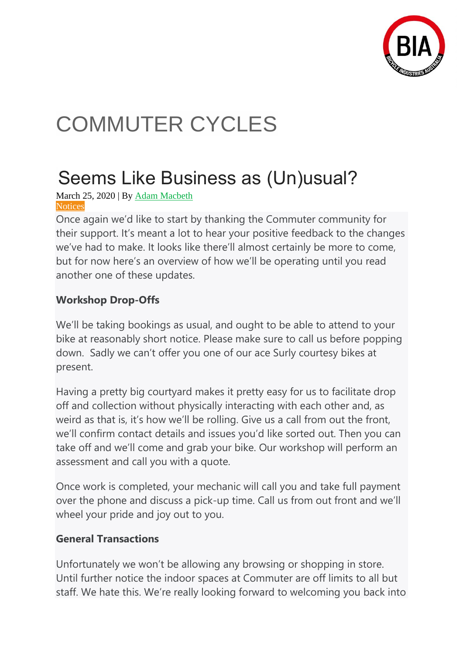

# COMMUTER CYCLES

## Seems Like Business as (Un)usual?

March 25, 2020 | By [Adam Macbeth](https://commutercycles.com.au/news/author/adammacbeth/) **[Notices](https://commutercycles.com.au/news/category/notices/)** 

Once again we'd like to start by thanking the Commuter community for their support. It's meant a lot to hear your positive feedback to the changes we've had to make. It looks like there'll almost certainly be more to come, but for now here's an overview of how we'll be operating until you read another one of these updates.

### **Workshop Drop-Offs**

We'll be taking bookings as usual, and ought to be able to attend to your bike at reasonably short notice. Please make sure to call us before popping down. Sadly we can't offer you one of our ace Surly courtesy bikes at present.

Having a pretty big courtyard makes it pretty easy for us to facilitate drop off and collection without physically interacting with each other and, as weird as that is, it's how we'll be rolling. Give us a call from out the front, we'll confirm contact details and issues you'd like sorted out. Then you can take off and we'll come and grab your bike. Our workshop will perform an assessment and call you with a quote.

Once work is completed, your mechanic will call you and take full payment over the phone and discuss a pick-up time. Call us from out front and we'll wheel your pride and joy out to you.

#### **General Transactions**

Unfortunately we won't be allowing any browsing or shopping in store. Until further notice the indoor spaces at Commuter are off limits to all but staff. We hate this. We're really looking forward to welcoming you back into